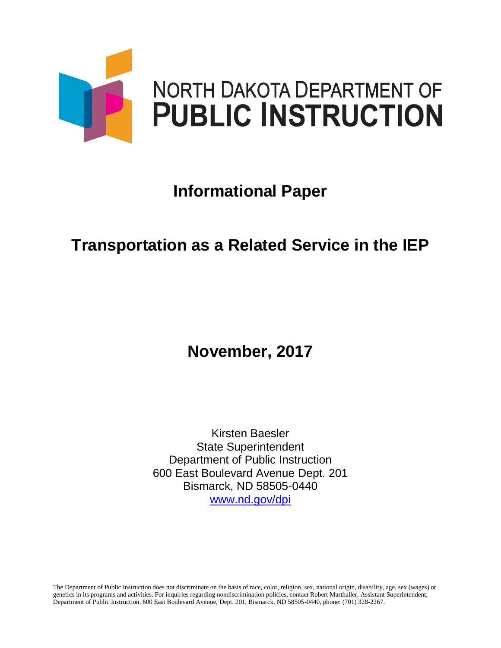

# **Informational Paper**

## **Transportation as a Related Service in the IEP**

### **November, 2017**

Kirsten Baesler State Superintendent Department of Public Instruction 600 East Boulevard Avenue Dept. 201 Bismarck, ND 58505-0440 [www.nd.gov/dpi](http://www.nd.gov/dpi)

The Department of Public Instruction does not discriminate on the basis of race, color, religion, sex, national origin, disability, age, sex (wages) or genetics in its programs and activities. For inquiries regarding nondiscrimination policies, contact Robert Marthaller, Assistant Superintendent, Department of Public Instruction, 600 East Boulevard Avenue, Dept. 201, Bismarck, ND 58505-0440, phone: (701) 328-2267.